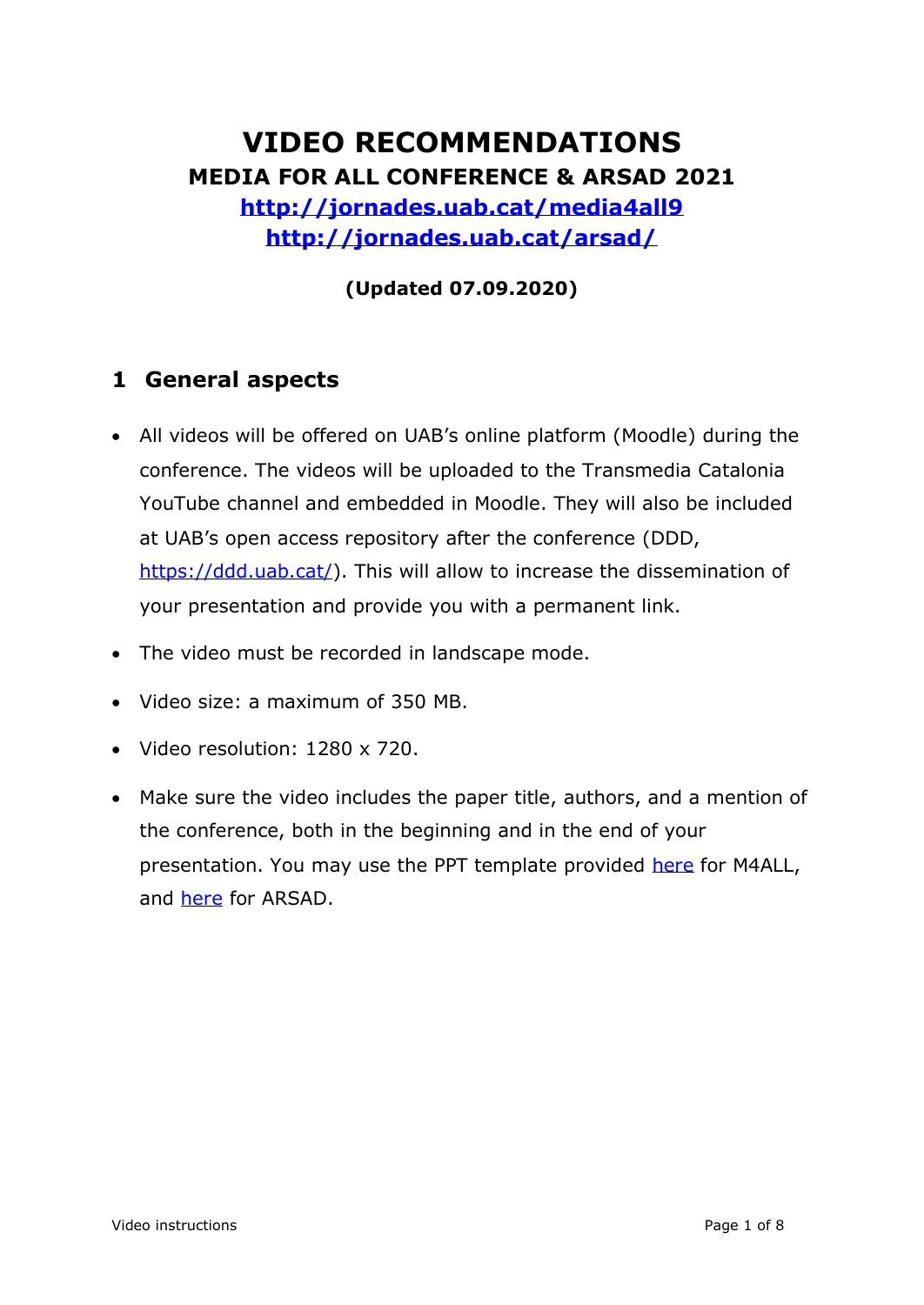# **VIDEO RECOMMENDATIONS MEDIA FOR ALL CONFERENCE & ARSAD 2021**

**<http://jornades.uab.cat/media4all9> <http://jornades.uab.cat/arsad/>**

**(Updated 07.09.2020)**

## **1 General aspects**

- All videos will be offered on UAB's online platform (Moodle) during the conference. The videos will be uploaded to the Transmedia Catalonia YouTube channel and embedded in Moodle. They will also be included at UAB's open access repository after the conference (DDD, [https://ddd.uab.cat/\)](https://ddd.uab.cat/). This will allow to increase the dissemination of your presentation and provide you with a permanent link.
- The video must be recorded in landscape mode.
- Video size: a maximum of 350 MB.
- Video resolution: 1280 x 720.
- Make sure the video includes the paper title, authors, and a mention of the conference, both in the beginning and in the end of your presentation. You may use the PPT template provided [here](https://uab-my.sharepoint.com/:p:/g/personal/1184839_uab_cat/EZxeqnHmflJHs-VFaX2zTOIBvS2DyD3ZQbMs0L6rgFT4uA?e=aP2rWR) for M4ALL, and [here](https://uab-my.sharepoint.com/:p:/g/personal/1184839_uab_cat/EXXQVozRPDJIpwl1YThOPrsBOmvNWtR4jJruVVD-O0V9RA?e=WkeZDg) for ARSAD.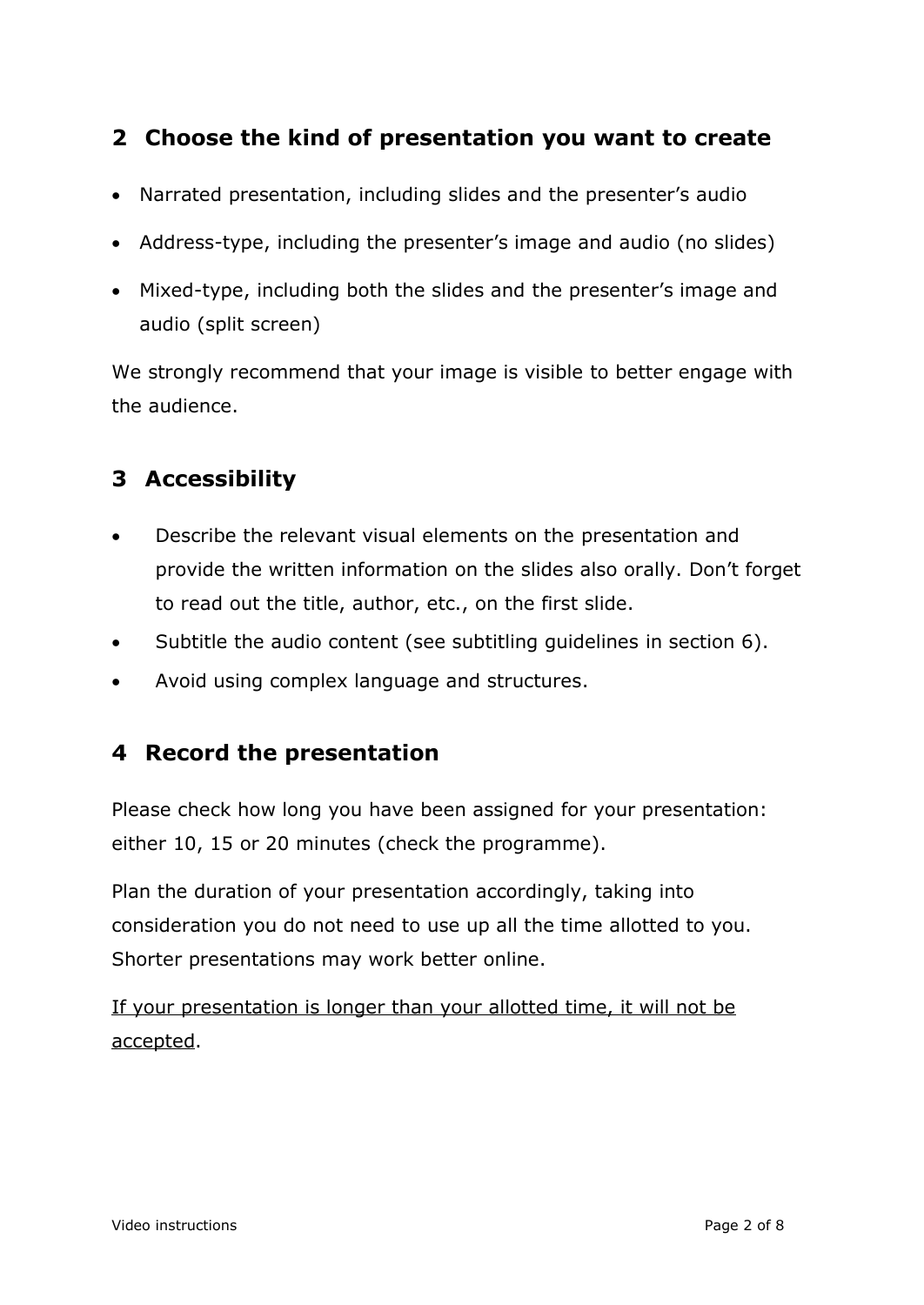## **2 Choose the kind of presentation you want to create**

- Narrated presentation, including slides and the presenter's audio
- Address-type, including the presenter's image and audio (no slides)
- Mixed-type, including both the slides and the presenter's image and audio (split screen)

We strongly recommend that your image is visible to better engage with the audience.

## **3 Accessibility**

- Describe the relevant visual elements on the presentation and provide the written information on the slides also orally. Don't forget to read out the title, author, etc., on the first slide.
- Subtitle the audio content (see subtitling guidelines in section 6).
- Avoid using complex language and structures.

#### **4 Record the presentation**

Please check how long you have been assigned for your presentation: either 10, 15 or 20 minutes (check the programme).

Plan the duration of your presentation accordingly, taking into consideration you do not need to use up all the time allotted to you. Shorter presentations may work better online.

If your presentation is longer than your allotted time, it will not be accepted.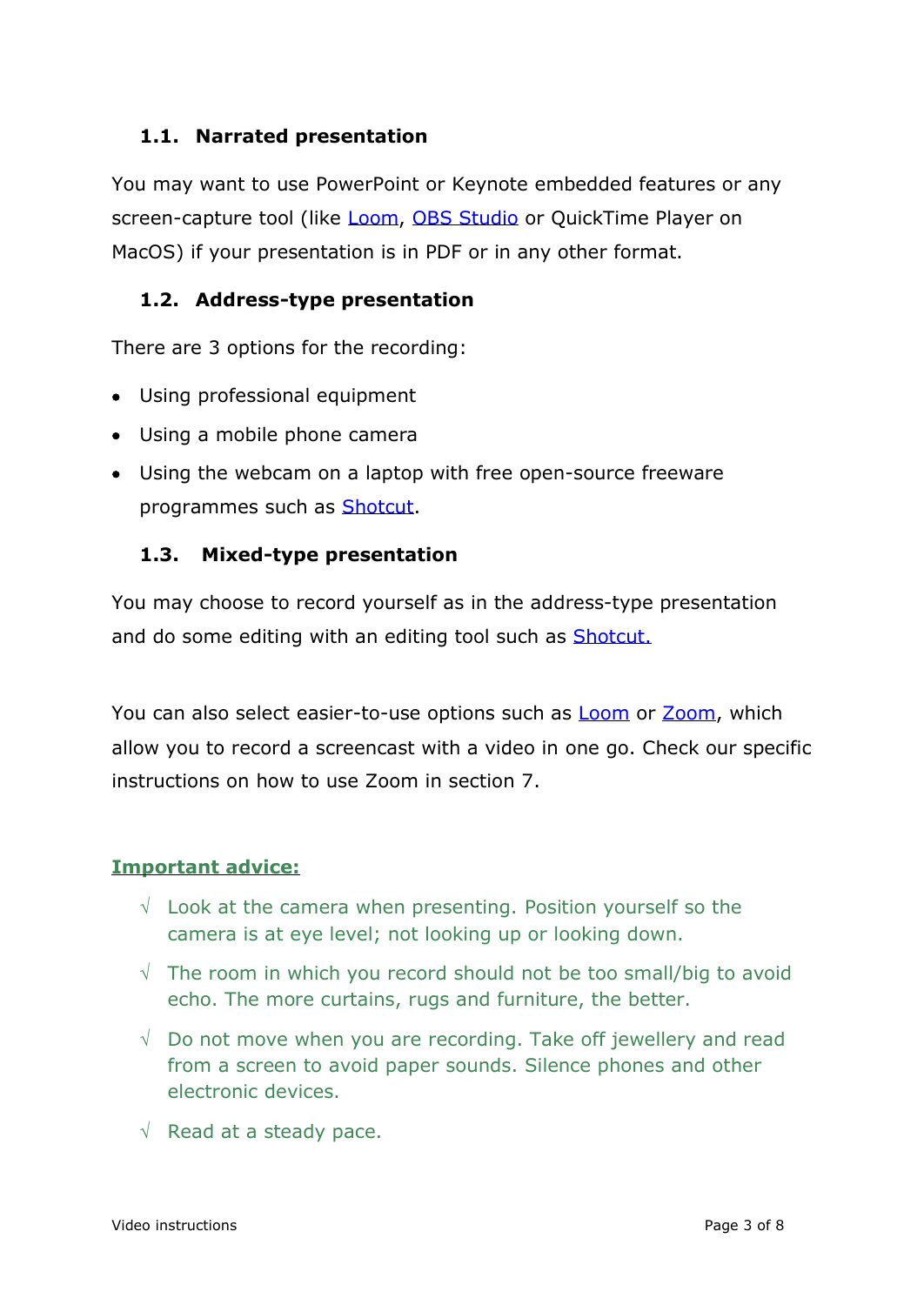#### **1.1. Narrated presentation**

You may want to use PowerPoint or Keynote embedded features or any screen-capture tool (like [Loom,](https://www.loom.com/) OBS [Studio](https://obsproject.com/) or QuickTime Player on MacOS) if your presentation is in PDF or in any other format.

#### **1.2. Address-type presentation**

There are 3 options for the recording:

- Using professional equipment
- Using a mobile phone camera
- Using the webcam on a laptop with free open-source freeware programmes such as [Shotcut.](https://shotcut.org/)

#### **1.3. Mixed-type presentation**

You may choose to record yourself as in the address-type presentation and do some editing with an editing tool such as [Shotcut.](https://shotcut.org/)

You can also select easier-to-use options such as [Loom](https://www.loom.com/) or [Zoom,](https://zoom.us/) which allow you to record a screencast with a video in one go. Check our specific instructions on how to use Zoom in section 7.

#### **Important advice:**

- $\sqrt{ }$  Look at the camera when presenting. Position yourself so the camera is at eye level; not looking up or looking down.
- $\sqrt{ }$  The room in which you record should not be too small/big to avoid echo. The more curtains, rugs and furniture, the better.
- $\sqrt{ }$  Do not move when you are recording. Take off jewellery and read from a screen to avoid paper sounds. Silence phones and other electronic devices.
- $\sqrt{ }$  Read at a steady pace.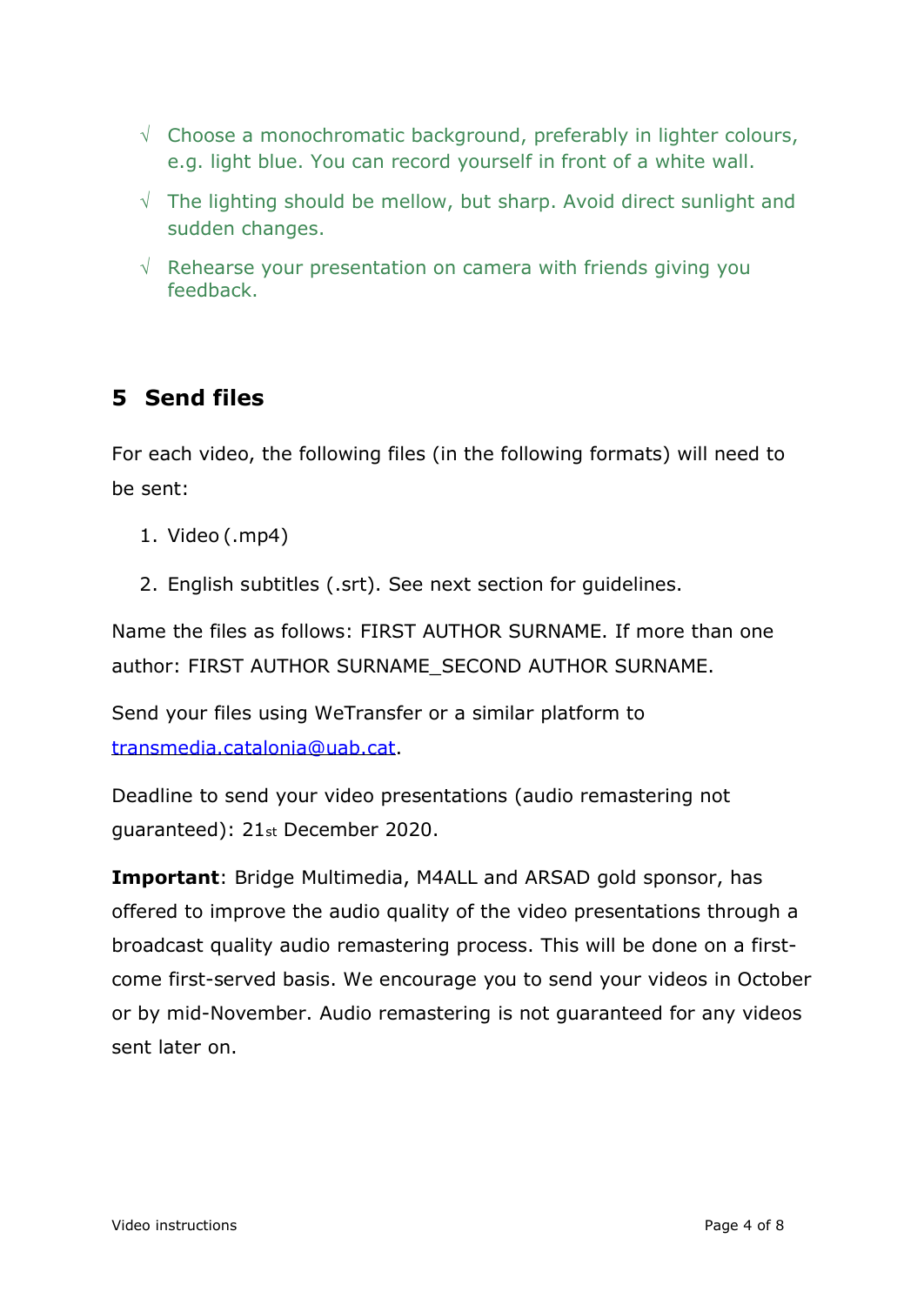- $\sqrt{\ }$  Choose a monochromatic background, preferably in lighter colours, e.g. light blue. You can record yourself in front of a white wall.
- $\sqrt{ }$  The lighting should be mellow, but sharp. Avoid direct sunlight and sudden changes.
- $\sqrt{ }$  Rehearse your presentation on camera with friends giving you feedback.

## **5 Send files**

For each video, the following files (in the following formats) will need to be sent:

- 1. Video (.mp4)
- 2. English subtitles (.srt). See next section for guidelines.

Name the files as follows: FIRST AUTHOR SURNAME. If more than one author: FIRST AUTHOR SURNAME\_SECOND AUTHOR SURNAME.

Send your files using WeTransfer or a similar platform to [transmedia.catalonia@uab.cat.](mailto:transmedia.catalonia@uab.cat)

Deadline to send your video presentations (audio remastering not guaranteed): 21st December 2020.

**Important**: Bridge Multimedia, M4ALL and ARSAD gold sponsor, has offered to improve the audio quality of the video presentations through a broadcast quality audio remastering process. This will be done on a firstcome first-served basis. We encourage you to send your videos in October or by mid-November. Audio remastering is not guaranteed for any videos sent later on.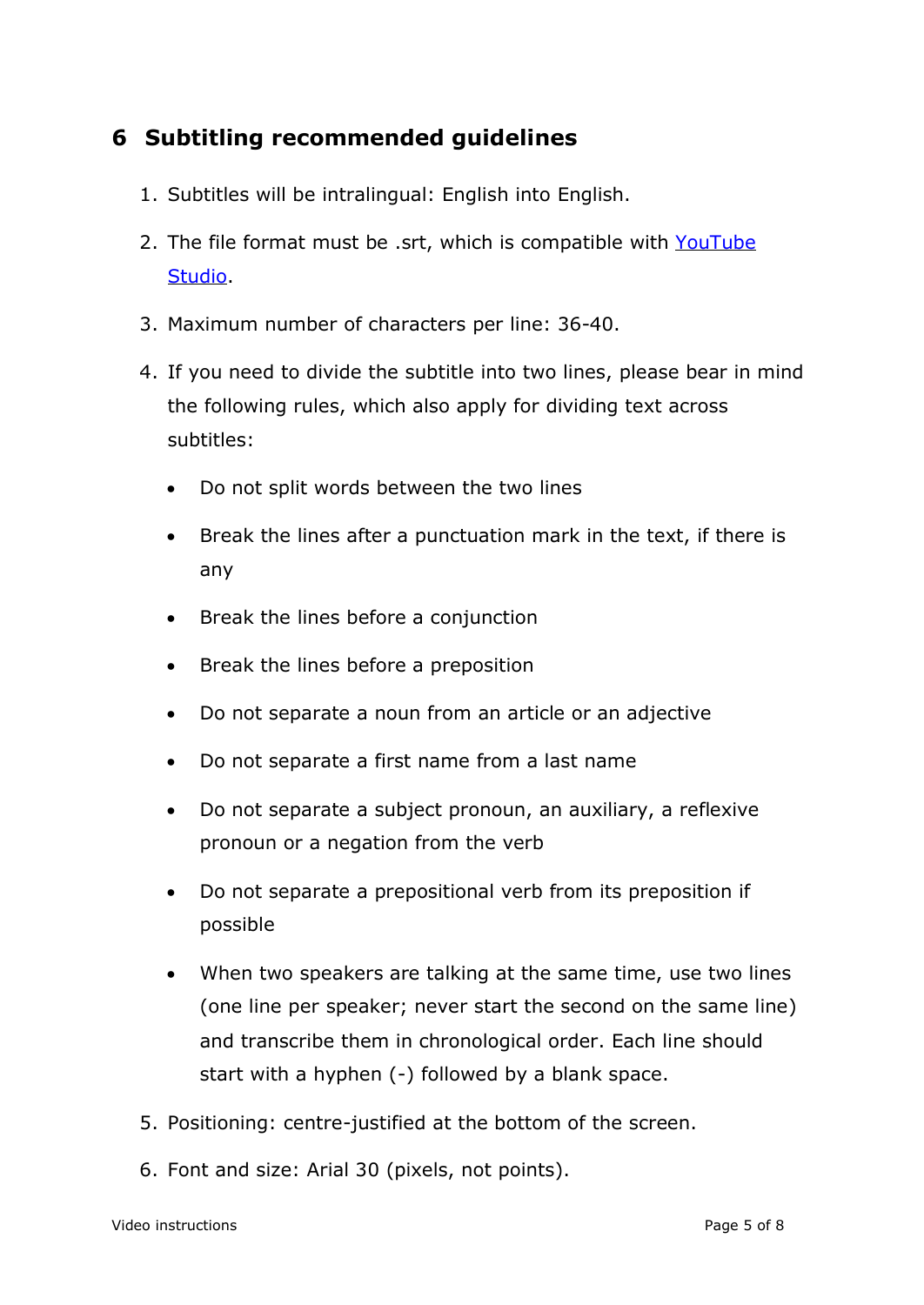## **6 Subtitling recommended guidelines**

- 1. Subtitles will be intralingual: English into English.
- 2. The file format must be .srt, which is compatible with [YouTube](https://support.google.com/youtube/answer/2734698?hl=en&ref_topic=7296214) [Studio.](https://support.google.com/youtube/answer/2734698?hl=en&ref_topic=7296214)
- 3. Maximum number of characters per line: 36-40.
- 4. If you need to divide the subtitle into two lines, please bear in mind the following rules, which also apply for dividing text across subtitles:
	- Do not split words between the two lines
	- Break the lines after a punctuation mark in the text, if there is any
	- Break the lines before a conjunction
	- Break the lines before a preposition
	- Do not separate a noun from an article or an adjective
	- Do not separate a first name from a last name
	- Do not separate a subject pronoun, an auxiliary, a reflexive pronoun or a negation from the verb
	- Do not separate a prepositional verb from its preposition if possible
	- When two speakers are talking at the same time, use two lines (one line per speaker; never start the second on the same line) and transcribe them in chronological order. Each line should start with a hyphen (-) followed by a blank space.
- 5. Positioning: centre-justified at the bottom of the screen.
- 6. Font and size: Arial 30 (pixels, not points).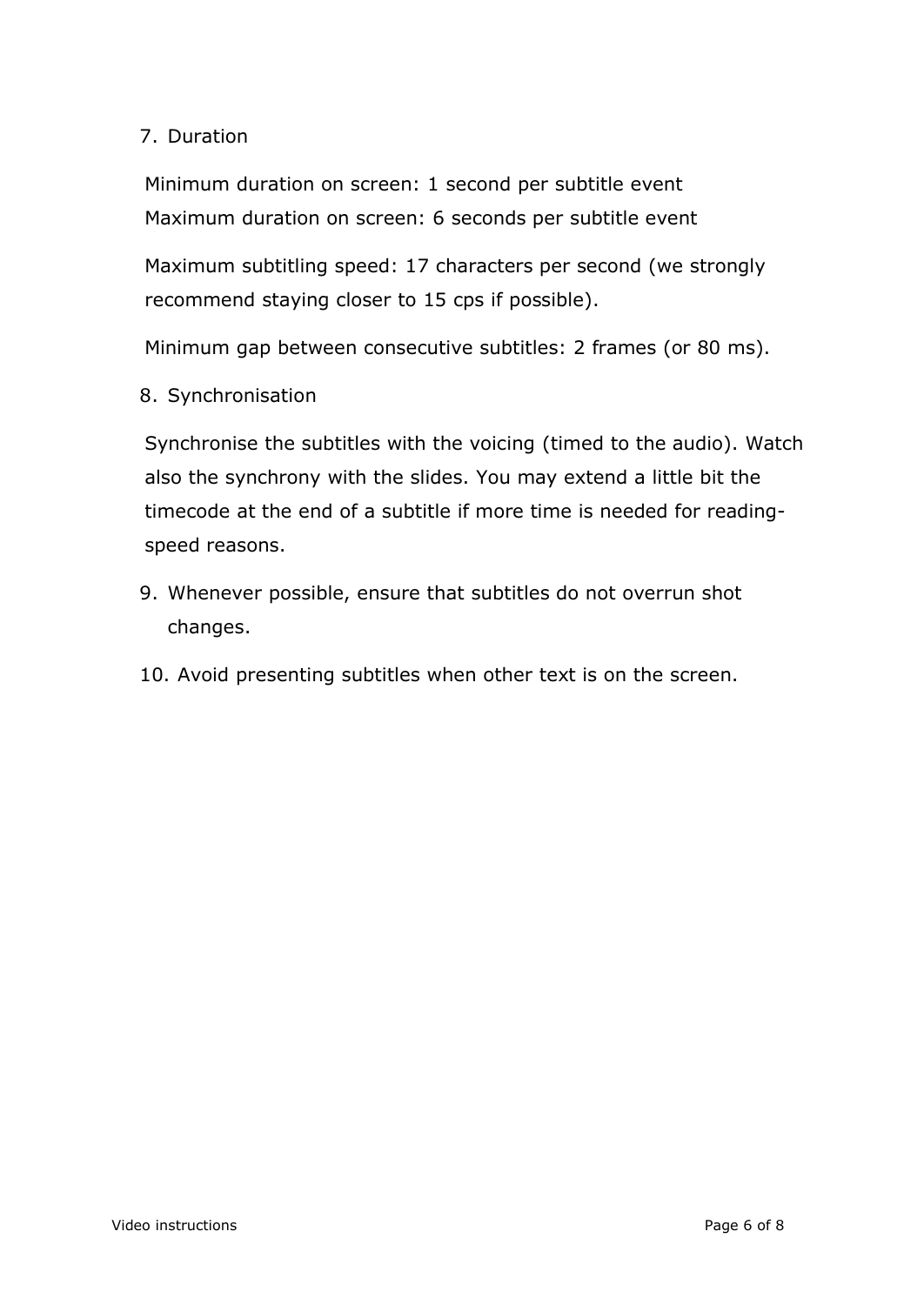#### 7. Duration

Minimum duration on screen: 1 second per subtitle event Maximum duration on screen: 6 seconds per subtitle event

Maximum subtitling speed: 17 characters per second (we strongly recommend staying closer to 15 cps if possible).

Minimum gap between consecutive subtitles: 2 frames (or 80 ms).

8. Synchronisation

Synchronise the subtitles with the voicing (timed to the audio). Watch also the synchrony with the slides. You may extend a little bit the timecode at the end of a subtitle if more time is needed for readingspeed reasons.

- 9. Whenever possible, ensure that subtitles do not overrun shot changes.
- 10. Avoid presenting subtitles when other text is on the screen.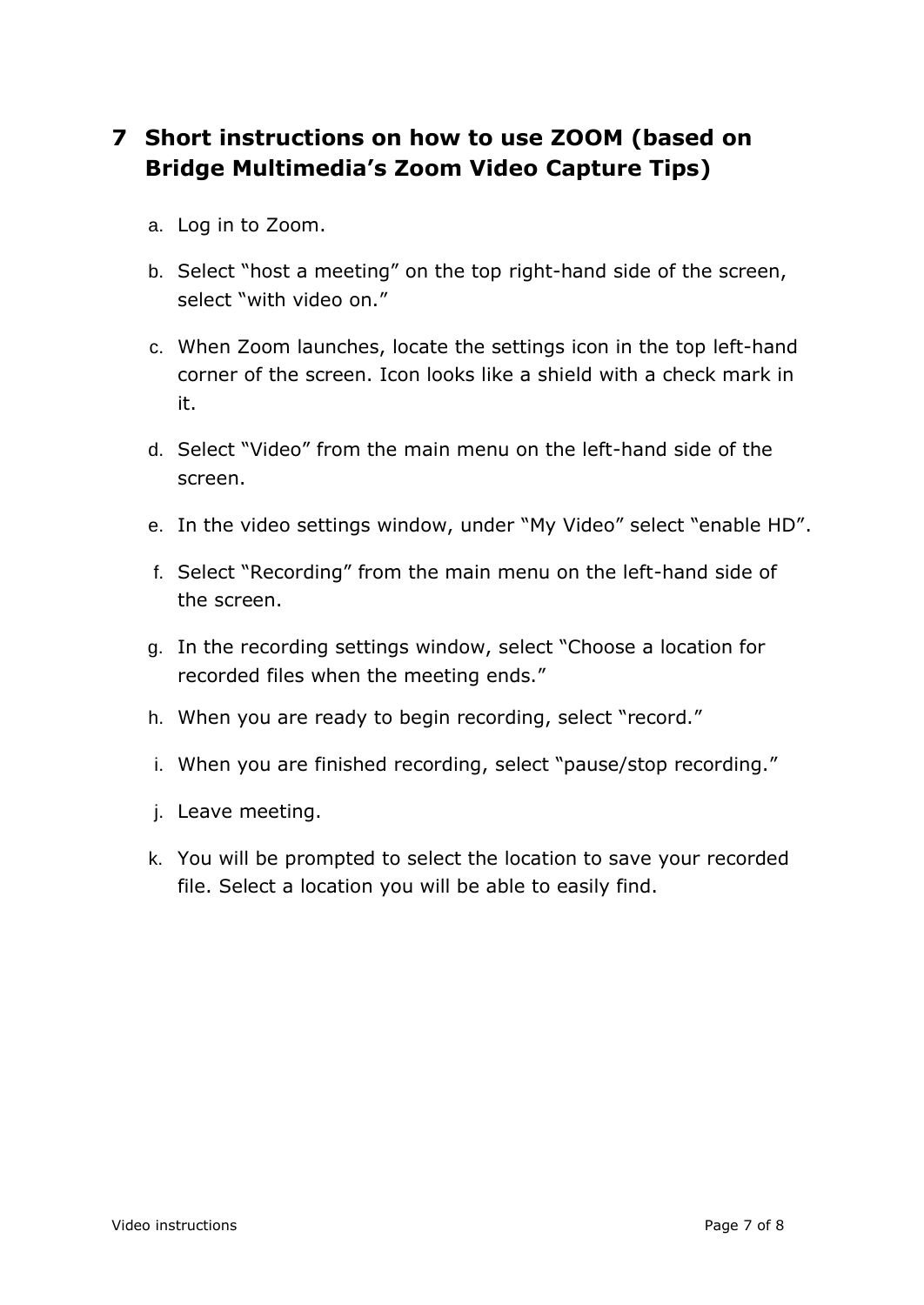## **7 Short instructions on how to use ZOOM (based on Bridge Multimedia's Zoom Video Capture Tips)**

- a. Log in to Zoom.
- b. Select "host a meeting" on the top right-hand side of the screen, select "with video on."
- c. When Zoom launches, locate the settings icon in the top left-hand corner of the screen. Icon looks like a shield with a check mark in it.
- d. Select "Video" from the main menu on the left-hand side of the screen.
- e. In the video settings window, under "My Video" select "enable HD".
- f. Select "Recording" from the main menu on the left-hand side of the screen.
- g. In the recording settings window, select "Choose a location for recorded files when the meeting ends."
- h. When you are ready to begin recording, select "record."
- i. When you are finished recording, select "pause/stop recording."
- j. Leave meeting.
- k. You will be prompted to select the location to save your recorded file. Select a location you will be able to easily find.